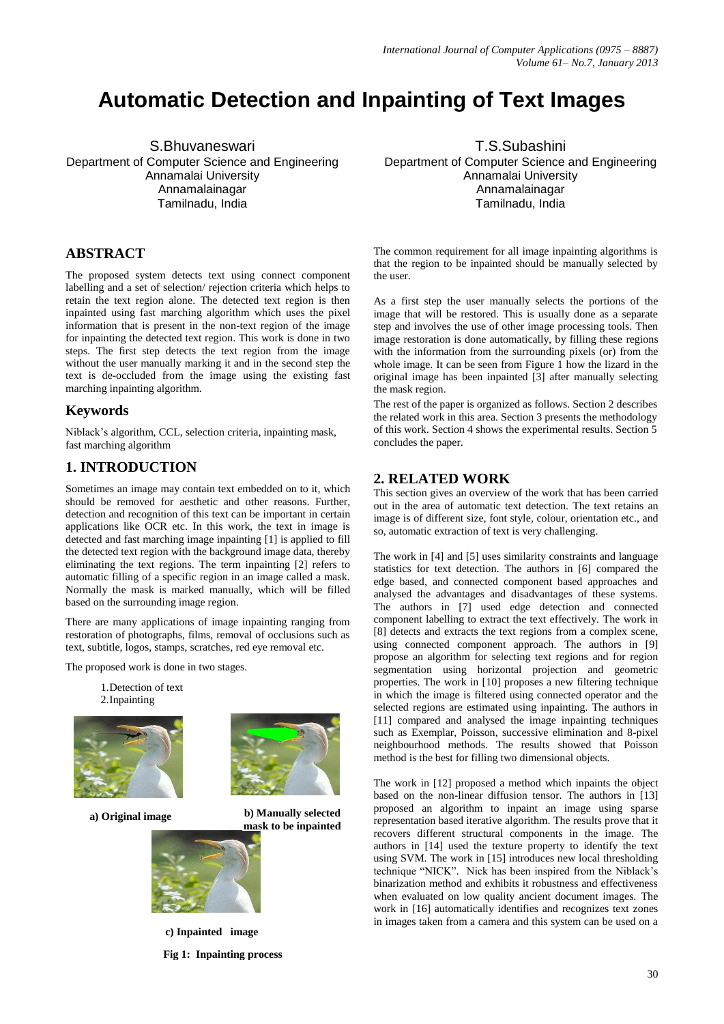# **Automatic Detection and Inpainting of Text Images**

S.Bhuvaneswari Department of Computer Science and Engineering Annamalai University Annamalainagar Tamilnadu, India

#### **ABSTRACT**

The proposed system detects text using connect component labelling and a set of selection/ rejection criteria which helps to retain the text region alone. The detected text region is then inpainted using fast marching algorithm which uses the pixel information that is present in the non-text region of the image for inpainting the detected text region. This work is done in two steps. The first step detects the text region from the image without the user manually marking it and in the second step the text is de-occluded from the image using the existing fast marching inpainting algorithm.

#### **Keywords**

Niblack's algorithm, CCL, selection criteria, inpainting mask, fast marching algorithm

### **1. INTRODUCTION**

Sometimes an image may contain text embedded on to it, which should be removed for aesthetic and other reasons. Further, detection and recognition of this text can be important in certain applications like OCR etc. In this work, the text in image is detected and fast marching image inpainting [1] is applied to fill the detected text region with the background image data, thereby eliminating the text regions. The term inpainting [2] refers to automatic filling of a specific region in an image called a mask. Normally the mask is marked manually, which will be filled based on the surrounding image region.

There are many applications of image inpainting ranging from restoration of photographs, films, removal of occlusions such as text, subtitle, logos, stamps, scratches, red eye removal etc.

The proposed work is done in two stages.

1.Detection of text 2.Inpainting



**a) Original image b) Manually selected** 



**c) Inpainted image Fig 1: Inpainting process**

T.S.Subashini Department of Computer Science and Engineering Annamalai University Annamalainagar Tamilnadu, India

The common requirement for all image inpainting algorithms is that the region to be inpainted should be manually selected by the user.

As a first step the user manually selects the portions of the image that will be restored. This is usually done as a separate step and involves the use of other image processing tools. Then image restoration is done automatically, by filling these regions with the information from the surrounding pixels (or) from the whole image. It can be seen from Figure 1 how the lizard in the original image has been inpainted [3] after manually selecting the mask region.

The rest of the paper is organized as follows. Section 2 describes the related work in this area. Section 3 presents the methodology of this work. Section 4 shows the experimental results. Section 5 concludes the paper.

#### **2. RELATED WORK**

This section gives an overview of the work that has been carried out in the area of automatic text detection. The text retains an image is of different size, font style, colour, orientation etc., and so, automatic extraction of text is very challenging.

The work in [4] and [5] uses similarity constraints and language statistics for text detection. The authors in [6] compared the edge based, and connected component based approaches and analysed the advantages and disadvantages of these systems. The authors in [7] used edge detection and connected component labelling to extract the text effectively. The work in [8] detects and extracts the text regions from a complex scene, using connected component approach. The authors in [9] propose an algorithm for selecting text regions and for region segmentation using horizontal projection and geometric properties. The work in [10] proposes a new filtering technique in which the image is filtered using connected operator and the selected regions are estimated using inpainting. The authors in [11] compared and analysed the image inpainting techniques such as Exemplar, Poisson, successive elimination and 8-pixel neighbourhood methods. The results showed that Poisson method is the best for filling two dimensional objects.

The work in [12] proposed a method which inpaints the object based on the non-linear diffusion tensor. The authors in [13] proposed an algorithm to inpaint an image using sparse representation based iterative algorithm. The results prove that it recovers different structural components in the image. The authors in [14] used the texture property to identify the text using SVM. The work in [15] introduces new local thresholding technique "NICK". Nick has been inspired from the Niblack's binarization method and exhibits it robustness and effectiveness when evaluated on low quality ancient document images. The work in [16] automatically identifies and recognizes text zones in images taken from a camera and this system can be used on a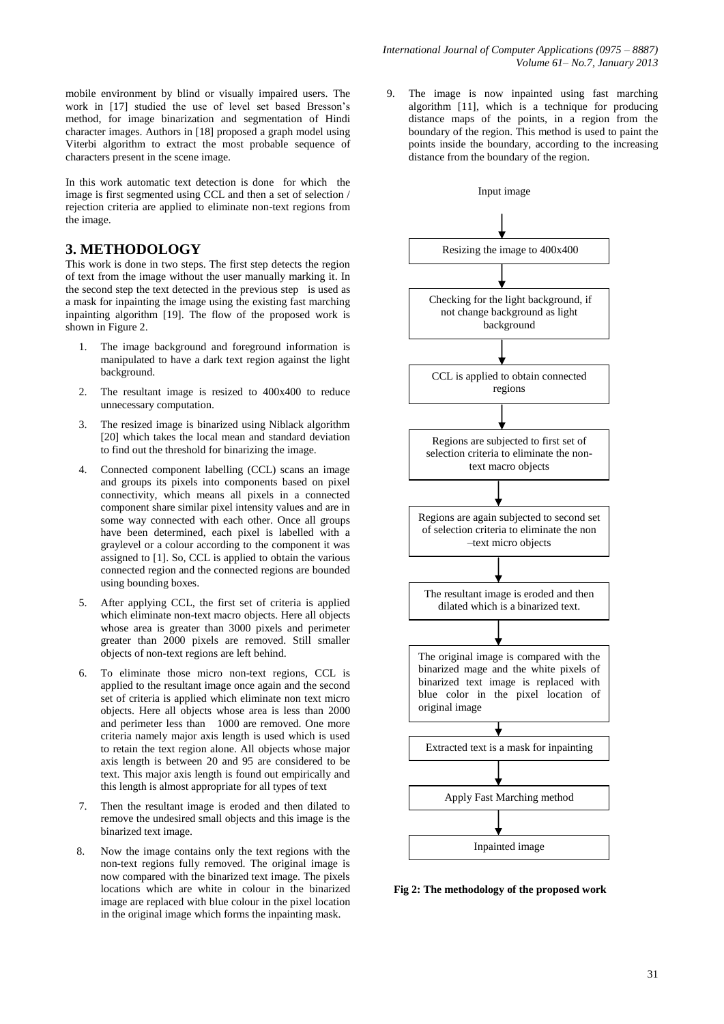mobile environment by blind or visually impaired users. The work in [17] studied the use of level set based Bresson's method, for image binarization and segmentation of Hindi character images. Authors in [18] proposed a graph model using Viterbi algorithm to extract the most probable sequence of characters present in the scene image.

In this work automatic text detection is done for which the image is first segmented using CCL and then a set of selection / rejection criteria are applied to eliminate non-text regions from the image.

#### **3. METHODOLOGY**

This work is done in two steps. The first step detects the region of text from the image without the user manually marking it. In the second step the text detected in the previous step is used as a mask for inpainting the image using the existing fast marching inpainting algorithm [19]. The flow of the proposed work is shown in Figure 2.

- 1. The image background and foreground information is manipulated to have a dark text region against the light background.
- 2. The resultant image is resized to 400x400 to reduce unnecessary computation.
- 3. The resized image is binarized using Niblack algorithm [20] which takes the local mean and standard deviation to find out the threshold for binarizing the image.
- 4. Connected component labelling (CCL) scans an image and groups its pixels into components based on pixel connectivity, which means all pixels in a connected component share similar pixel intensity values and are in some way connected with each other. Once all groups have been determined, each pixel is labelled with a graylevel or a colour according to the component it was assigned to [1]. So, CCL is applied to obtain the various connected region and the connected regions are bounded using bounding boxes.
- 5. After applying CCL, the first set of criteria is applied which eliminate non-text macro objects. Here all objects whose area is greater than 3000 pixels and perimeter greater than 2000 pixels are removed. Still smaller objects of non-text regions are left behind.
- 6. To eliminate those micro non-text regions, CCL is applied to the resultant image once again and the second set of criteria is applied which eliminate non text micro objects. Here all objects whose area is less than 2000 and perimeter less than 1000 are removed. One more criteria namely major axis length is used which is used to retain the text region alone. All objects whose major axis length is between 20 and 95 are considered to be text. This major axis length is found out empirically and this length is almost appropriate for all types of text
- 7. Then the resultant image is eroded and then dilated to remove the undesired small objects and this image is the binarized text image.
- 8. Now the image contains only the text regions with the non-text regions fully removed. The original image is now compared with the binarized text image. The pixels locations which are white in colour in the binarized image are replaced with blue colour in the pixel location in the original image which forms the inpainting mask.

9. The image is now inpainted using fast marching algorithm [11], which is a technique for producing distance maps of the points, in a region from the boundary of the region. This method is used to paint the points inside the boundary, according to the increasing distance from the boundary of the region.



 **Fig 2: The methodology of the proposed work**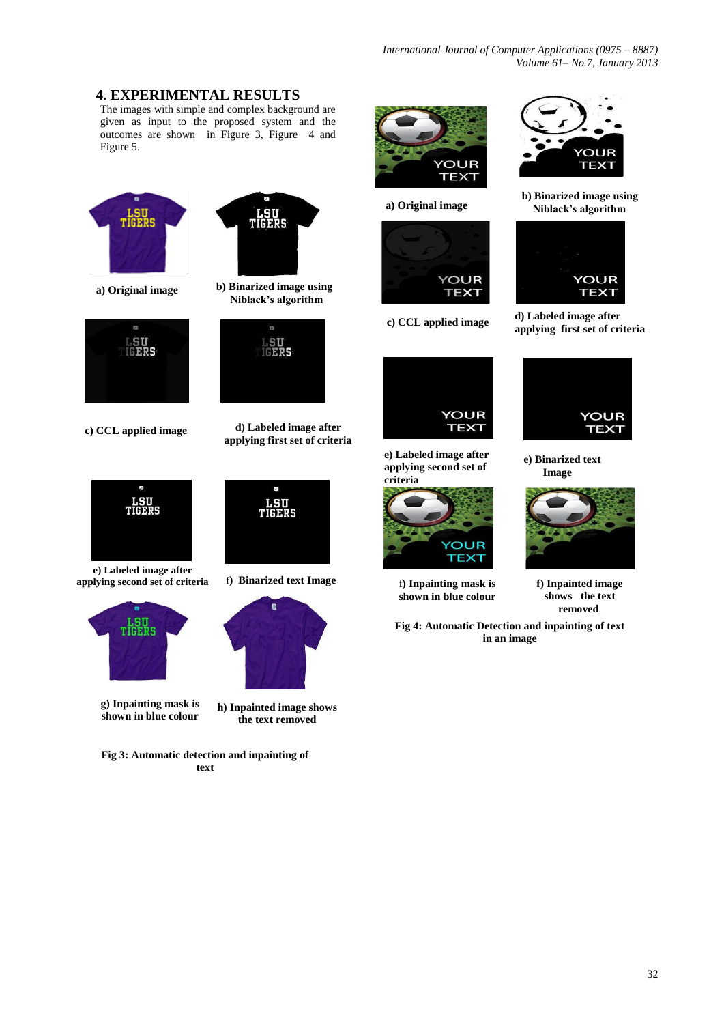*International Journal of Computer Applications (0975 – 8887) Volume 61– No.7, January 2013*

# **4. EXPERIMENTAL RESULTS**

The images with simple and complex background are given as input to the proposed system and the outcomes are shown in Figure 3, Figure 4 and Figure 5.







**c) CCL applied image d) Labeled image after** 



**e) Labeled image after applying second set of criteria** f**) Binarized text Image**



**g) Inpainting mask is shown in blue colour**

**h) Inpainted image shows the text removed**

**Fig 3: Automatic detection and inpainting of text**



**a) Original image**





**e) Labeled image after applying second set of criteria**



f**) Inpainting mask is shown in blue colour**



 **b) Binarized image using Niblack's algorithm**



**c) CCL applied image d) Labeled image after applying first set of criteria**



**e) Binarized text Image**



**f) Inpainted image shows the text removed**.

**Fig 4: Automatic Detection and inpainting of text in an image**



**applying first set of criteria**

 **Niblack's algorithm**

LSU<br>IGERS

**LSU<br>TIGERS** 

 $\overline{B}$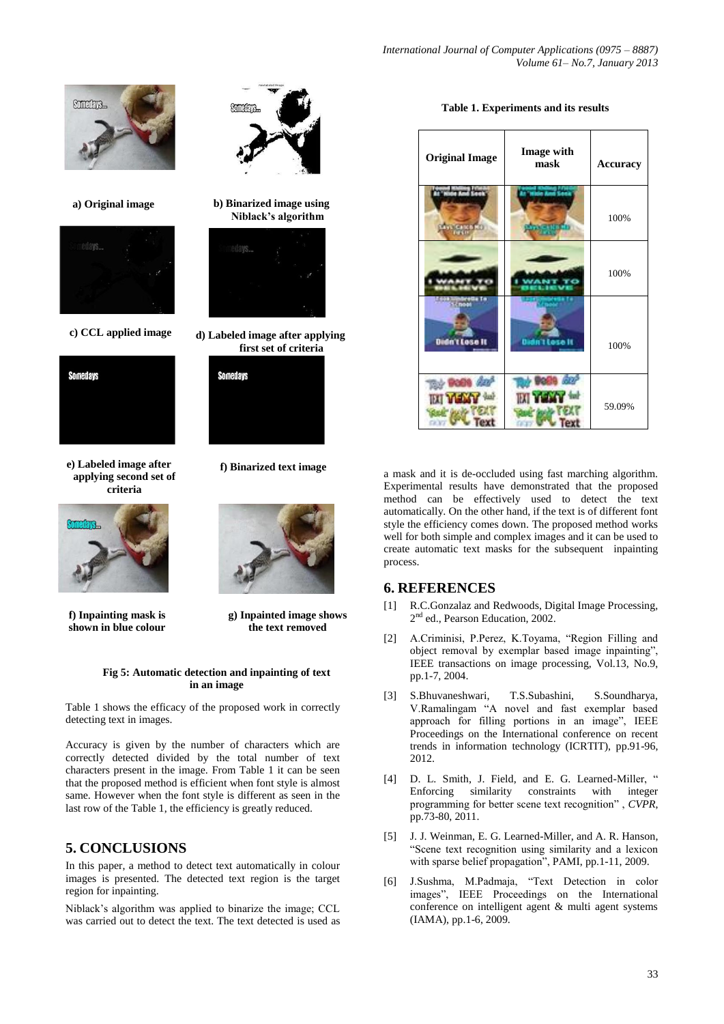**Table 1. Experiments and its results**

| <b>Original Image</b> | <b>Image with</b><br>mask | <b>Accuracy</b> |
|-----------------------|---------------------------|-----------------|
| <b>MAGE</b>           |                           | 100%            |
|                       |                           | 100%            |
| Didn't Lose It        | Dadn i Lose II            | 100%            |
| <b>IXI</b> Y          | IN 1                      | 59.09%          |

a mask and it is de-occluded using fast marching algorithm. Experimental results have demonstrated that the proposed method can be effectively used to detect the text automatically. On the other hand, if the text is of different font style the efficiency comes down. The proposed method works well for both simple and complex images and it can be used to create automatic text masks for the subsequent inpainting process.

#### **6. REFERENCES**

- [1] R.C.Gonzalaz and Redwoods, Digital Image Processing, 2<sup>nd</sup> ed., Pearson Education, 2002.
- [2] A.Criminisi, P.Perez, K.Toyama, "Region Filling and object removal by exemplar based image inpainting", IEEE transactions on image processing, Vol.13, No.9, pp.1-7, 2004.
- [3] S.Bhuvaneshwari, T.S.Subashini, S.Soundharya, V.Ramalingam "A novel and fast exemplar based approach for filling portions in an image", IEEE Proceedings on the International conference on recent trends in information technology (ICRTIT), pp.91-96, 2012.
- [4] D. L. Smith, J. Field, and E. G. Learned-Miller, " Enforcing similarity constraints with integer programming for better scene text recognition" , *CVPR*, pp.73-80, 2011.
- [5] J. J. Weinman, E. G. Learned-Miller, and A. R. Hanson, "Scene text recognition using similarity and a lexicon with sparse belief propagation", PAMI, pp.1-11, 2009.
- [6] J.Sushma, M.Padmaja, "Text Detection in color images", IEEE Proceedings on the International conference on intelligent agent & multi agent systems (IAMA), pp.1-6, 2009.



**a) Original image b) Binarized image using**



**c**) CCL applied image d) Labeled image after applying



**e) Labeled image after applying second set of criteria**



**f) Inpainting mask is shown in blue colour**



 **f) Binarized text image** 

 **Niblack's algorithm**

**first set of criteria**

**Somedays** 

**g) Inpainted image shows the text removed**

#### **Fig 5: Automatic detection and inpainting of text in an image**

Table 1 shows the efficacy of the proposed work in correctly detecting text in images.

Accuracy is given by the number of characters which are correctly detected divided by the total number of text characters present in the image. From Table 1 it can be seen that the proposed method is efficient when font style is almost same. However when the font style is different as seen in the last row of the Table 1, the efficiency is greatly reduced.

# **5. CONCLUSIONS**

In this paper, a method to detect text automatically in colour images is presented. The detected text region is the target region for inpainting.

Niblack's algorithm was applied to binarize the image; CCL was carried out to detect the text. The text detected is used as